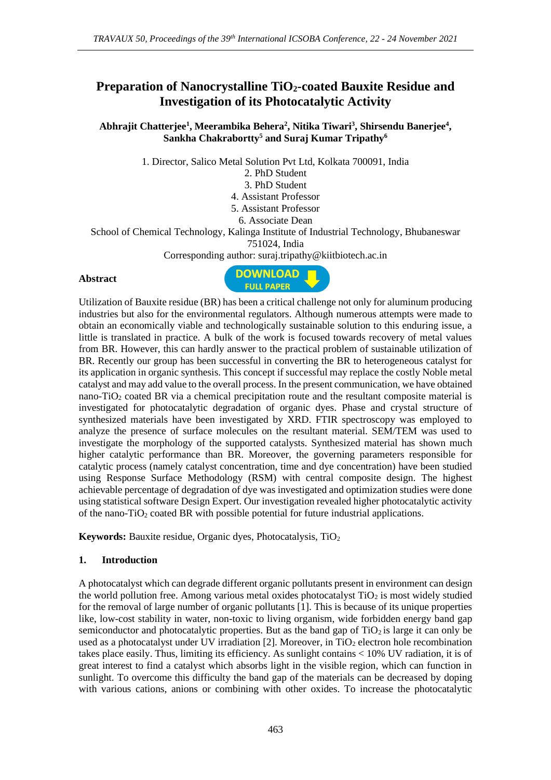# **Preparation of Nanocrystalline TiO2-coated Bauxite Residue and Investigation of its Photocatalytic Activity**

**Abhrajit Chatterjee<sup>1</sup> , Meerambika Behera<sup>2</sup> , Nitika Tiwari<sup>3</sup> , Shirsendu Banerjee<sup>4</sup> , Sankha Chakrabortty<sup>5</sup> and Suraj Kumar Tripathy<sup>6</sup>**

1. Director, Salico Metal Solution Pvt Ltd, Kolkata 700091, India

2. PhD Student

3. PhD Student

4. Assistant Professor

5. Assistant Professor

6. Associate Dean

School of Chemical Technology, Kalinga Institute of Industrial Technology, Bhubaneswar 751024, India

Corresponding author: suraj.tripathy@kiitbiotech.ac.in

#### **Abstract**



Utilization of Bauxite residue (BR) has been a critical challenge not only for aluminum producing industries but also for the environmental regulators. Although numerous attempts were made to obtain an economically viable and technologically sustainable solution to this enduring issue, a little is translated in practice. A bulk of the work is focused towards recovery of metal values from BR. However, this can hardly answer to the practical problem of sustainable utilization of BR. Recently our group has been successful in converting the BR to heterogeneous catalyst for its application in organic synthesis. This concept if successful may replace the costly Noble metal catalyst and may add value to the overall process. In the present communication, we have obtained nano-TiO<sub>2</sub> coated BR via a chemical precipitation route and the resultant composite material is investigated for photocatalytic degradation of organic dyes. Phase and crystal structure of synthesized materials have been investigated by XRD. FTIR spectroscopy was employed to analyze the presence of surface molecules on the resultant material. SEM/TEM was used to investigate the morphology of the supported catalysts. Synthesized material has shown much higher catalytic performance than BR. Moreover, the governing parameters responsible for catalytic process (namely catalyst concentration, time and dye concentration) have been studied using Response Surface Methodology (RSM) with central composite design. The highest achievable percentage of degradation of dye was investigated and optimization studies were done using statistical software Design Expert. Our investigation revealed higher photocatalytic activity of the nano- $TiO<sub>2</sub>$  coated BR with possible potential for future industrial applications.

**Keywords:** Bauxite residue, Organic dyes, Photocatalysis, TiO<sup>2</sup>

### **1. Introduction**

A photocatalyst which can degrade different organic pollutants present in environment can design the world pollution free. Among various metal oxides photocatalyst  $TiO<sub>2</sub>$  is most widely studied for the removal of large number of organic pollutants [1]. This is because of its unique properties like, low-cost stability in water, non-toxic to living organism, wide forbidden energy band gap semiconductor and photocatalytic properties. But as the band gap of  $TiO<sub>2</sub>$  is large it can only be used as a photocatalyst under UV irradiation  $[2]$ . Moreover, in TiO<sub>2</sub> electron hole recombination takes place easily. Thus, limiting its efficiency. As sunlight contains < 10% UV radiation, it is of great interest to find a catalyst which absorbs light in the visible region, which can function in sunlight. To overcome this difficulty the band gap of the materials can be decreased by doping with various cations, anions or combining with other oxides. To increase the photocatalytic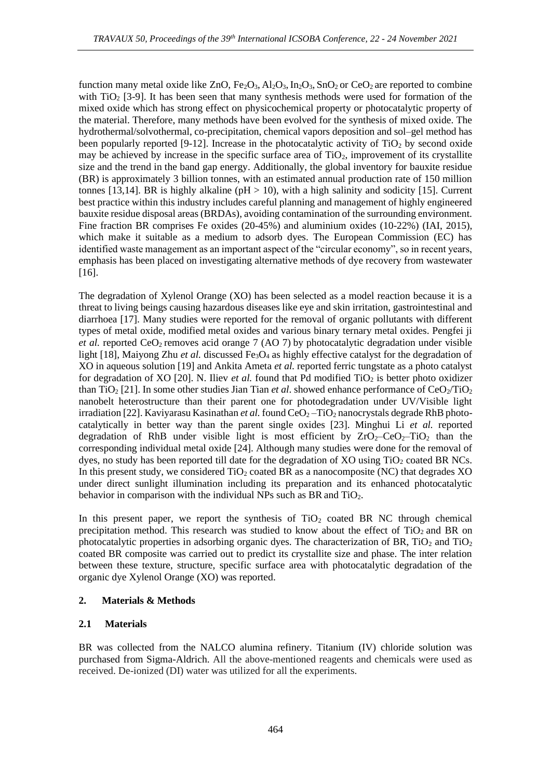function many metal oxide like ZnO,  $Fe<sub>2</sub>O<sub>3</sub>$ ,  $Al<sub>2</sub>O<sub>3</sub>$ ,  $In<sub>2</sub>O<sub>3</sub>$ ,  $SnO<sub>2</sub>$  or CeO<sub>2</sub> are reported to combine with  $TiO<sub>2</sub>$  [3-9]. It has been seen that many synthesis methods were used for formation of the mixed oxide which has strong effect on physicochemical property or photocatalytic property of the material. Therefore, many methods have been evolved for the synthesis of mixed oxide. The hydrothermal/solvothermal, co-precipitation, chemical vapors deposition and sol–gel method has been popularly reported [9-12]. Increase in the photocatalytic activity of  $TiO<sub>2</sub>$  by second oxide may be achieved by increase in the specific surface area of  $TiO<sub>2</sub>$ , improvement of its crystallite size and the trend in the band gap energy. Additionally, the global inventory for bauxite residue (BR) is approximately 3 billion tonnes, with an estimated annual production rate of 150 million tonnes [13,14]. BR is highly alkaline ( $pH > 10$ ), with a high salinity and sodicity [15]. Current best practice within this industry includes careful planning and management of highly engineered bauxite residue disposal areas (BRDAs), avoiding contamination of the surrounding environment. Fine fraction BR comprises Fe oxides (20-45%) and aluminium oxides (10-22%) (IAI, 2015), which make it suitable as a medium to adsorb dyes. The European Commission (EC) has identified waste management as an important aspect of the "circular economy", so in recent years, emphasis has been placed on investigating alternative methods of dye recovery from wastewater [16].

The degradation of Xylenol Orange (XO) has been selected as a model reaction because it is a threat to living beings causing hazardous diseases like eye and skin irritation, gastrointestinal and diarrhoea [17]. Many studies were reported for the removal of organic pollutants with different types of metal oxide, modified metal oxides and various binary ternary metal oxides. Pengfei ji *et al.* reported CeO<sub>2</sub> removes acid orange 7 (AO 7) by photocatalytic degradation under visible light [18], Maiyong Zhu *et al.* discussed Fe<sub>3</sub>O<sub>4</sub> as highly effective catalyst for the degradation of XO in aqueous solution [19] and Ankita Ameta *et al.* reported ferric tungstate as a photo catalyst for degradation of XO [20]. N. Iliev *et al.* found that Pd modified TiO<sub>2</sub> is better photo oxidizer than TiO<sub>2</sub> [21]. In some other studies Jian Tian *et al.* showed enhance performance of CeO<sub>2</sub>/TiO<sub>2</sub> nanobelt heterostructure than their parent one for photodegradation under UV/Visible light irradiation [22]. Kaviyarasu Kasinathan *et al.* found CeO<sub>2</sub> – TiO<sub>2</sub> nanocrystals degrade RhB photocatalytically in better way than the parent single oxides [23]. Minghui Li *et al.* reported degradation of RhB under visible light is most efficient by  $ZrO<sub>2</sub>$ –CeO<sub>2</sub>–TiO<sub>2</sub> than the corresponding individual metal oxide [24]. Although many studies were done for the removal of dyes, no study has been reported till date for the degradation of  $XO$  using  $TiO<sub>2</sub>$  coated BR NCs. In this present study, we considered  $TiO<sub>2</sub>$  coated BR as a nanocomposite (NC) that degrades XO under direct sunlight illumination including its preparation and its enhanced photocatalytic behavior in comparison with the individual NPs such as BR and  $TiO<sub>2</sub>$ .

In this present paper, we report the synthesis of  $TiO<sub>2</sub>$  coated BR NC through chemical precipitation method. This research was studied to know about the effect of  $TiO<sub>2</sub>$  and BR on photocatalytic properties in adsorbing organic dyes. The characterization of BR,  $TiO<sub>2</sub>$  and  $TiO<sub>2</sub>$ coated BR composite was carried out to predict its crystallite size and phase. The inter relation between these texture, structure, specific surface area with photocatalytic degradation of the organic dye Xylenol Orange (XO) was reported.

### **2. Materials & Methods**

## **2.1 Materials**

BR was collected from the NALCO alumina refinery. Titanium (IV) chloride solution was purchased from Sigma-Aldrich. All the above-mentioned reagents and chemicals were used as received. De-ionized (DI) water was utilized for all the experiments.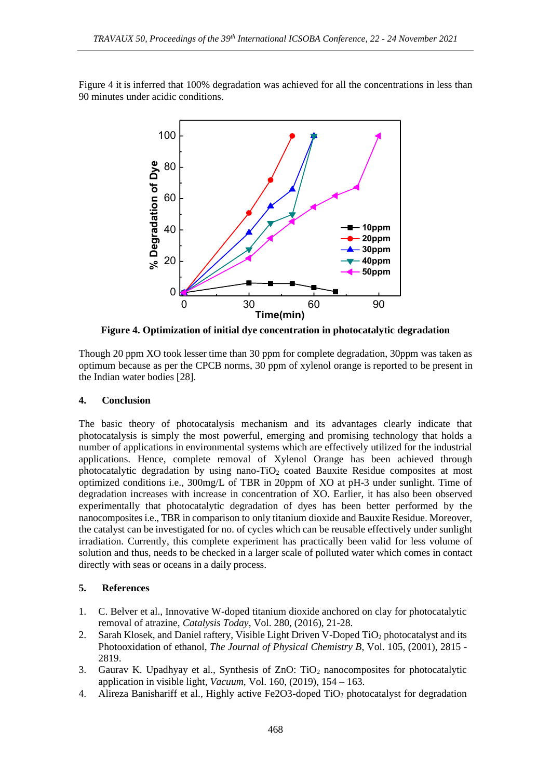Figure 4 it is inferred that 100% degradation was achieved for all the concentrations in less than 90 minutes under acidic conditions.



**Figure 4. Optimization of initial dye concentration in photocatalytic degradation**

Though 20 ppm XO took lesser time than 30 ppm for complete degradation, 30ppm was taken as optimum because as per the CPCB norms, 30 ppm of xylenol orange is reported to be present in the Indian water bodies [28].

## **4. Conclusion**

The basic theory of photocatalysis mechanism and its advantages clearly indicate that photocatalysis is simply the most powerful, emerging and promising technology that holds a number of applications in environmental systems which are effectively utilized for the industrial applications. Hence, complete removal of Xylenol Orange has been achieved through photocatalytic degradation by using nano-TiO<sub>2</sub> coated Bauxite Residue composites at most optimized conditions i.e., 300mg/L of TBR in 20ppm of XO at pH-3 under sunlight. Time of degradation increases with increase in concentration of XO. Earlier, it has also been observed experimentally that photocatalytic degradation of dyes has been better performed by the nanocomposites i.e., TBR in comparison to only titanium dioxide and Bauxite Residue. Moreover, the catalyst can be investigated for no. of cycles which can be reusable effectively under sunlight irradiation. Currently, this complete experiment has practically been valid for less volume of solution and thus, needs to be checked in a larger scale of polluted water which comes in contact directly with seas or oceans in a daily process.

## **5. References**

- 1. C. Belver et al., Innovative W-doped titanium dioxide anchored on clay for photocatalytic removal of atrazine, *Catalysis Today*, Vol. 280, (2016), 21-28.
- 2. Sarah Klosek, and Daniel raftery, Visible Light Driven V-Doped TiO<sub>2</sub> photocatalyst and its Photooxidation of ethanol, *The Journal of Physical Chemistry B*, Vol. 105, (2001), 2815 - 2819.
- 3. Gaurav K. Upadhyay et al., Synthesis of  $ZnO$ : TiO<sub>2</sub> nanocomposites for photocatalytic application in visible light, *Vacuum*, Vol. 160, (2019), 154 – 163.
- 4. Alireza Banishariff et al., Highly active Fe2O3-doped TiO<sup>2</sup> photocatalyst for degradation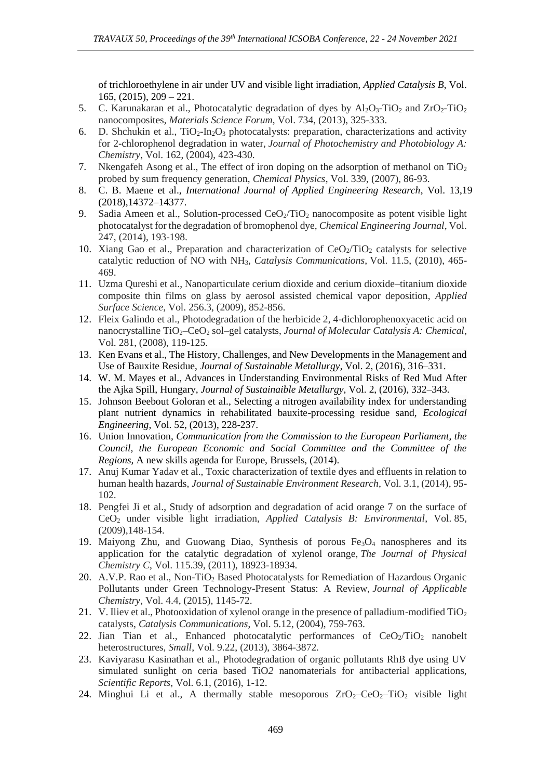of trichloroethylene in air under UV and visible light irradiation, *Applied Catalysis B*, Vol. 165, (2015), 209 – 221.

- 5. C. Karunakaran et al., Photocatalytic degradation of dyes by  $A1_2O_3$ -TiO<sub>2</sub> and  $ZrO_2$ -TiO<sub>2</sub> nanocomposites, *Materials Science Forum*, Vol. 734, (2013), 325-333.
- 6. D. Shchukin et al.,  $TiO_2-In_2O_3$  photocatalysts: preparation, characterizations and activity for 2-chlorophenol degradation in water, *Journal of Photochemistry and Photobiology A: Chemistry*, Vol. 162, (2004), 423-430.
- 7. Nkengafeh Asong et al., The effect of iron doping on the adsorption of methanol on  $TiO<sub>2</sub>$ probed by sum frequency generation, *Chemical Physics*, Vol. 339, (2007), 86-93.
- 8. C. B. Maene et al., *International Journal of Applied Engineering Research*, Vol. 13,19 (2018),14372–14377.
- 9. Sadia Ameen et al., Solution-processed  $CeO<sub>2</sub>/TiO<sub>2</sub>$  nanocomposite as potent visible light photocatalyst for the degradation of bromophenol dye, *Chemical Engineering Journal*, Vol. 247, (2014), 193-198.
- 10. Xiang Gao et al., Preparation and characterization of  $CeO<sub>2</sub>/TiO<sub>2</sub>$  catalysts for selective catalytic reduction of NO with NH3, *Catalysis Communications*, Vol. 11.5, (2010), 465- 469.
- 11. Uzma Qureshi et al., Nanoparticulate cerium dioxide and cerium dioxide–titanium dioxide composite thin films on glass by aerosol assisted chemical vapor deposition, *Applied Surface Science*, Vol. 256.3, (2009), 852-856.
- 12. Fleix Galindo et al., Photodegradation of the herbicide 2, 4-dichlorophenoxyacetic acid on nanocrystalline TiO2–CeO<sup>2</sup> sol–gel catalysts, *Journal of Molecular Catalysis A: Chemical*, Vol. 281, (2008), 119-125.
- 13. Ken Evans et al., The History, Challenges, and New Developments in the Management and Use of Bauxite Residue, *Journal of Sustainable Metallurgy*, Vol. 2, (2016), 316–331.
- 14. W. M. Mayes et al., Advances in Understanding Environmental Risks of Red Mud After the Ajka Spill, Hungary, *Journal of Sustainaible Metallurgy*, Vol. 2, (2016), 332–343.
- 15. Johnson Beebout Goloran et al., Selecting a nitrogen availability index for understanding plant nutrient dynamics in rehabilitated bauxite-processing residue sand, *Ecological Engineering*, Vol. 52, (2013), 228-237.
- 16. Union Innovation, *Communication from the Commission to the European Parliament, the Council, the European Economic and Social Committee and the Committee of the Regions*, A new skills agenda for Europe, Brussels, (2014).
- 17. Anuj Kumar Yadav et al., Toxic characterization of textile dyes and effluents in relation to human health hazards, *Journal of Sustainable Environment Research*, Vol. 3.1, (2014), 95- 102.
- 18. Pengfei Ji et al., Study of adsorption and degradation of acid orange 7 on the surface of CeO<sup>2</sup> under visible light irradiation, *Applied Catalysis B: Environmental*, Vol. 85, (2009),148-154.
- 19. Maiyong Zhu, and Guowang Diao, Synthesis of porous  $Fe<sub>3</sub>O<sub>4</sub>$  nanospheres and its application for the catalytic degradation of xylenol orange, *The Journal of Physical Chemistry C*, Vol. 115.39, (2011), 18923-18934.
- 20. A.V.P. Rao et al., Non-TiO<sub>2</sub> Based Photocatalysts for Remediation of Hazardous Organic Pollutants under Green Technology-Present Status: A Review, *Journal of Applicable Chemistry*, Vol. 4.4, (2015), 1145-72.
- 21. V. Iliev et al., Photooxidation of xylenol orange in the presence of palladium-modified TiO<sup>2</sup> catalysts, *Catalysis Communications*, Vol. 5.12, (2004), 759-763.
- 22. Jian Tian et al., Enhanced photocatalytic performances of  $CeO<sub>2</sub>/TiO<sub>2</sub>$  nanobelt heterostructures, *Small*, Vol. 9.22, (2013), 3864-3872.
- 23. Kaviyarasu Kasinathan et al., Photodegradation of organic pollutants RhB dye using UV simulated sunlight on ceria based TiO*2* nanomaterials for antibacterial applications, *Scientific Reports*, Vol. 6.1, (2016), 1-12.
- 24. Minghui Li et al., A thermally stable mesoporous  $ZrO_2$ –Ce $O_2$ –Ti $O_2$  visible light